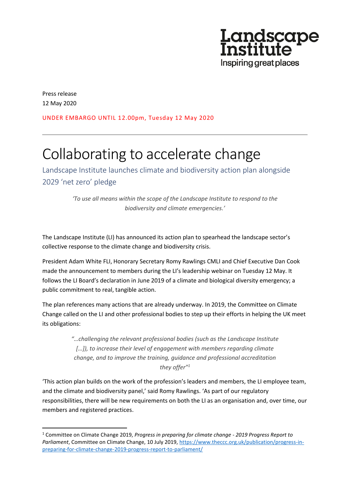

Press release 12 May 2020

UNDER EMBARGO UNTIL 12.00pm, Tuesday 12 May 2020

# Collaborating to accelerate change

Landscape Institute launches climate and biodiversity action plan alongside 2029 'net zero' pledge

> *'To use all means within the scope of the Landscape Institute to respond to the biodiversity and climate emergencies.'*

The Landscape Institute (LI) has announced its action plan to spearhead the landscape sector's collective response to the climate change and biodiversity crisis.

President Adam White FLI, Honorary Secretary Romy Rawlings CMLI and Chief Executive Dan Cook made the announcement to members during the LI's leadership webinar on Tuesday 12 May. It follows the LI Board's declaration in June 2019 of a climate and biological diversity emergency; a public commitment to real, tangible action.

The plan references many actions that are already underway. In 2019, the Committee on Climate Change called on the LI and other professional bodies to step up their efforts in helping the UK meet its obligations:

> *"…challenging the relevant professional bodies (such as the Landscape Institute […]), to increase their level of engagement with members regarding climate change, and to improve the training, guidance and professional accreditation they offer"<sup>1</sup>*

'This action plan builds on the work of the profession's leaders and members, the LI employee team, and the climate and biodiversity panel,' said Romy Rawlings. 'As part of our regulatory responsibilities, there will be new requirements on both the LI as an organisation and, over time, our members and registered practices.

<sup>1</sup> Committee on Climate Change 2019, *Progress in preparing for climate change - 2019 Progress Report to Parliament*, Committee on Climate Change, 10 July 2019, [https://www.theccc.org.uk/publication/progress-in](https://www.theccc.org.uk/publication/progress-in-preparing-for-climate-change-2019-progress-report-to-parliament/)[preparing-for-climate-change-2019-progress-report-to-parliament/](https://www.theccc.org.uk/publication/progress-in-preparing-for-climate-change-2019-progress-report-to-parliament/)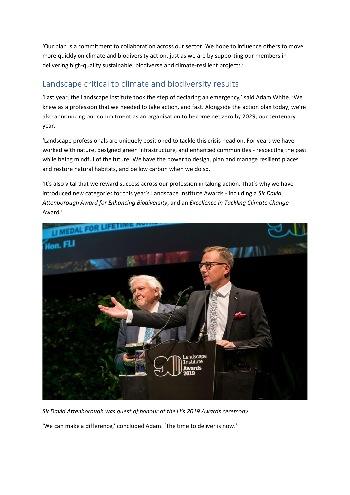'Our plan is a commitment to collaboration across our sector. We hope to influence others to move more quickly on climate and biodiversity action, just as we are by supporting our members in delivering high-quality sustainable, biodiverse and climate-resilient projects.'

## Landscape critical to climate and biodiversity results

'Last year, the Landscape Institute took the step of declaring an emergency,' said Adam White. 'We knew as a profession that we needed to take action, and fast. Alongside the action plan today, we're also announcing our commitment as an organisation to become net zero by 2029, our centenary year.

'Landscape professionals are uniquely positioned to tackle this crisis head on. For years we have worked with nature, designed green infrastructure, and enhanced communities - respecting the past while being mindful of the future. We have the power to design, plan and manage resilient places and restore natural habitats, and be low carbon when we do so.

'It's also vital that we reward success across our profession in taking action. That's why we have introduced new categories for this year's Landscape Institute Awards - including a *Sir David Attenborough Award for Enhancing Biodiversity*, and an *Excellence in Tackling Climate Change* Award.'



*Sir David Attenborough was guest of honour at the LI's 2019 Awards ceremony*

'We can make a difference,' concluded Adam. 'The time to deliver is now.'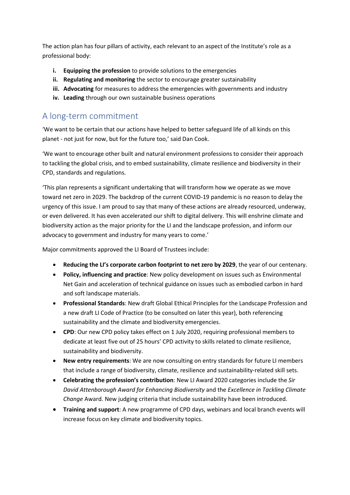The action plan has four pillars of activity, each relevant to an aspect of the Institute's role as a professional body:

- **i. Equipping the profession** to provide solutions to the emergencies
- **ii. Regulating and monitoring** the sector to encourage greater sustainability
- **iii. Advocating** for measures to address the emergencies with governments and industry
- **iv. Leading** through our own sustainable business operations

#### A long-term commitment

'We want to be certain that our actions have helped to better safeguard life of all kinds on this planet - not just for now, but for the future too,' said Dan Cook.

'We want to encourage other built and natural environment professions to consider their approach to tackling the global crisis, and to embed sustainability, climate resilience and biodiversity in their CPD, standards and regulations.

'This plan represents a significant undertaking that will transform how we operate as we move toward net zero in 2029. The backdrop of the current COVID-19 pandemic is no reason to delay the urgency of this issue. I am proud to say that many of these actions are already resourced, underway, or even delivered. It has even accelerated our shift to digital delivery. This will enshrine climate and biodiversity action as the major priority for the LI and the landscape profession, and inform our advocacy to government and industry for many years to come.'

Major commitments approved the LI Board of Trustees include:

- **Reducing the LI's corporate carbon footprint to net zero by 2029**, the year of our centenary.
- **Policy, influencing and practice**: New policy development on issues such as Environmental Net Gain and acceleration of technical guidance on issues such as embodied carbon in hard and soft landscape materials.
- **Professional Standards**: New draft Global Ethical Principles for the Landscape Profession and a new draft LI Code of Practice (to be consulted on later this year), both referencing sustainability and the climate and biodiversity emergencies.
- **CPD**: Our new CPD policy takes effect on 1 July 2020, requiring professional members to dedicate at least five out of 25 hours' CPD activity to skills related to climate resilience, sustainability and biodiversity.
- **New entry requirements**: We are now consulting on entry standards for future LI members that include a range of biodiversity, climate, resilience and sustainability-related skill sets.
- **Celebrating the profession's contribution**: New LI Award 2020 categories include the *Sir David Attenborough Award for Enhancing Biodiversity* and the *Excellence in Tackling Climate Change* Award. New judging criteria that include sustainability have been introduced.
- **Training and support**: A new programme of CPD days, webinars and local branch events will increase focus on key climate and biodiversity topics.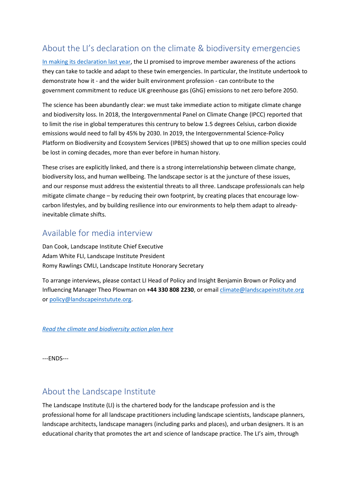## About the LI's declaration on the climate & biodiversity emergencies

[In making its declaration last year,](https://www.landscapeinstitute.org/policy/climate-change/) the LI promised to improve member awareness of the actions they can take to tackle and adapt to these twin emergencies. In particular, the Institute undertook to demonstrate how it - and the wider built environment profession - can contribute to the government commitment to reduce UK greenhouse gas (GhG) emissions to net zero before 2050.

The science has been abundantly clear: we must take immediate action to mitigate climate change and biodiversity loss. In 2018, the Intergovernmental Panel on Climate Change (IPCC) reported that to limit the rise in global temperatures this centrury to below 1.5 degrees Celsius, carbon dioxide emissions would need to fall by 45% by 2030. In 2019, the Intergovernmental Science-Policy Platform on Biodiversity and Ecosystem Services (IPBES) showed that up to one million species could be lost in coming decades, more than ever before in human history.

These crises are explicitly linked, and there is a strong interrelationship between climate change, biodiversity loss, and human wellbeing. The landscape sector is at the juncture of these issues, and our response must address the existential threats to all three. Landscape professionals can help mitigate climate change – by reducing their own footprint, by creating places that encourage lowcarbon lifestyles, and by building resilience into our environments to help them adapt to alreadyinevitable climate shifts.

## Available for media interview

Dan Cook, Landscape Institute Chief Executive Adam White FLI, Landscape Institute President Romy Rawlings CMLI, Landscape Institute Honorary Secretary

To arrange interviews, please contact LI Head of Policy and Insight Benjamin Brown or Policy and Influencing Manager Theo Plowman on **+44 330 808 2230**, or email [climate@landscapeinstitute.org](mailto:climate@landscapeinstitute.org) or [policy@landscapeinstutute.org.](mailto:policy@landscapeinstutute.org)

*[Read the climate and biodiversity action plan here](https://landscapewpstorage01.blob.core.windows.net/www-landscapeinstitute-org/2020/05/12284-climate-biodiversity-action-plan.pdf)*

---ENDS---

## About the Landscape Institute

The Landscape Institute (LI) is the chartered body for the landscape profession and is the professional home for all landscape practitioners including landscape scientists, landscape planners, landscape architects, landscape managers (including parks and places), and urban designers. It is an educational charity that promotes the art and science of landscape practice. The LI's aim, through